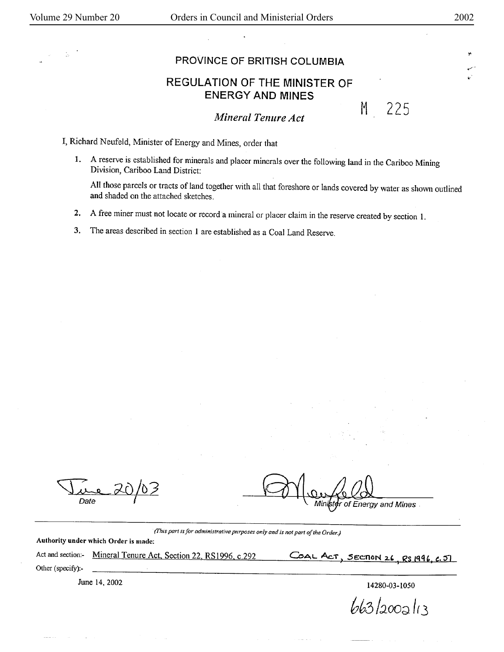,.

## **PROVINCE** OF **BRITISH COLUMBIA**

## **REGULATION** OF THE **MINISTER** OF **ENERGY AND MINES**

*Mineral Tenure Act* 

M 225

I, Richard Neufeld, Minister of Energy and Mines, order that

**1. A** reserve is established for minerals and placer minerals over the following land in the Cariboo Mining Division, Cariboo Land District:

**All** those parcels or tracts of land together with all that foreshore or lands covered by water as shown outlined and shaded on the attached sketches.

- 2. A free miner must not locate or record a mineral or placer claim in the reserve created by section 1.
- 3. The areas described in section 1 are established as a Coal Land Reserve.

Time 20/03 Date

f Energy and Mines

*(This part is for administrative purposes only and is not part of the Order.)* 

**Authority under which Order is made:** 

|                       | Act and section:- Mineral Tenure Act, Section 22, RS1996, c.292 | COAL ACT, SECTION 26, RS 1996, C.J |
|-----------------------|-----------------------------------------------------------------|------------------------------------|
| Other ( $specify$ ):- |                                                                 |                                    |

June 14, 2002 14280-03-1050

*bb3 |2002 |13*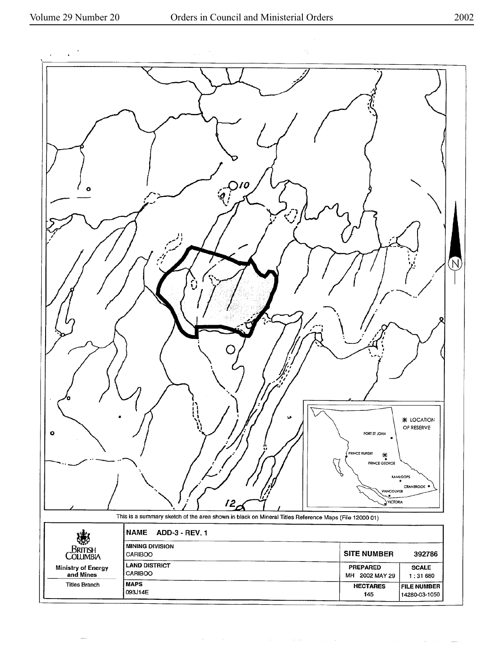



 $\omega_{\rm c}$ 

 $\sim$ 

 $\sim 100$  km s  $^{-1}$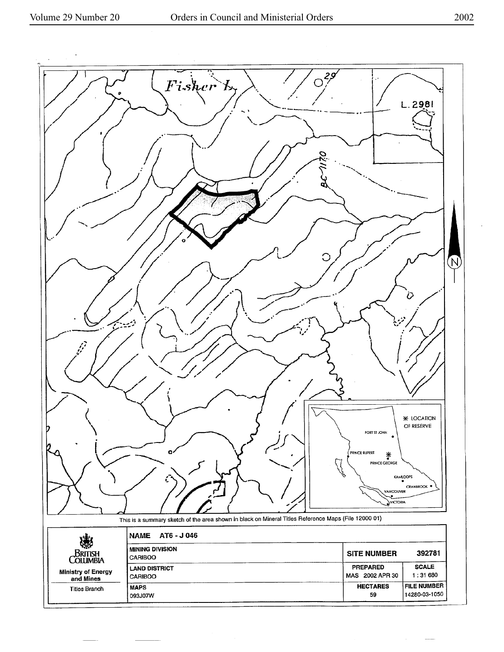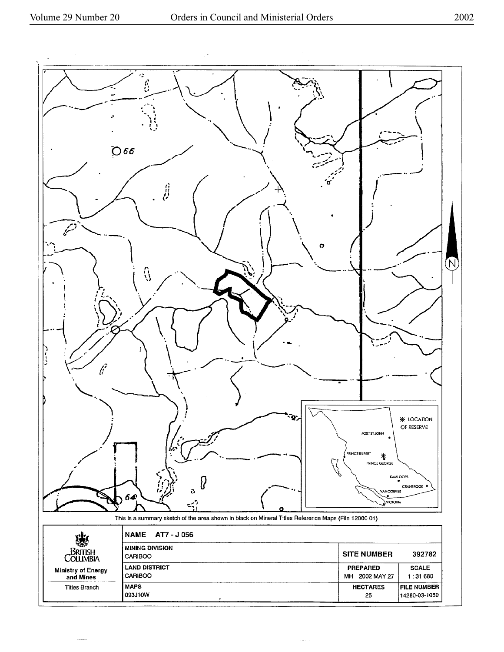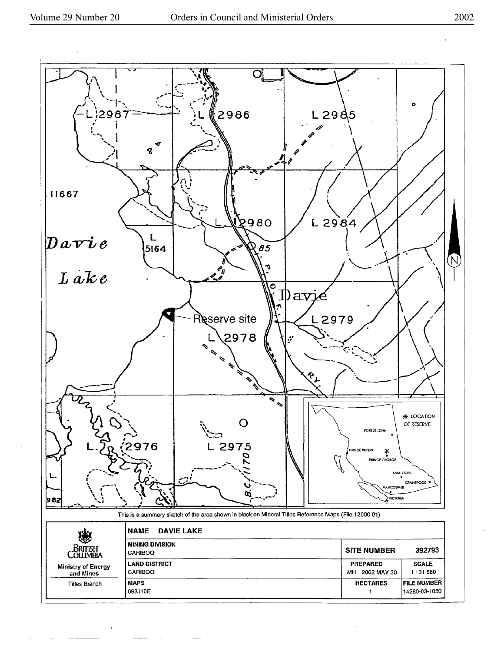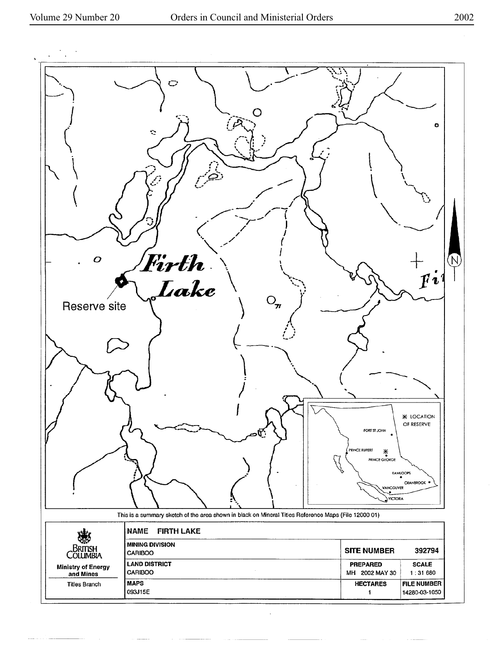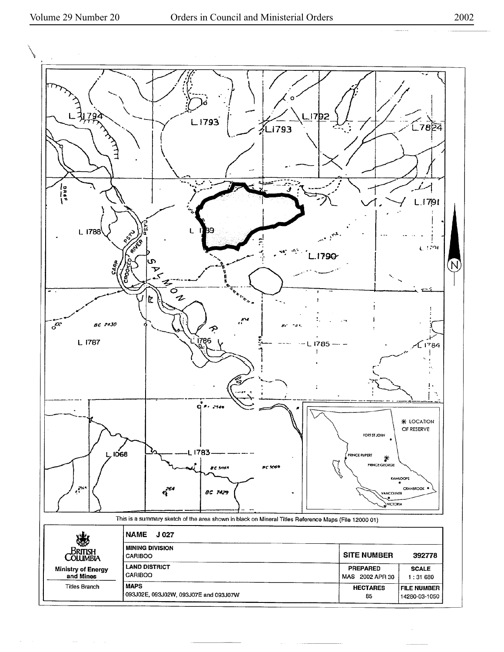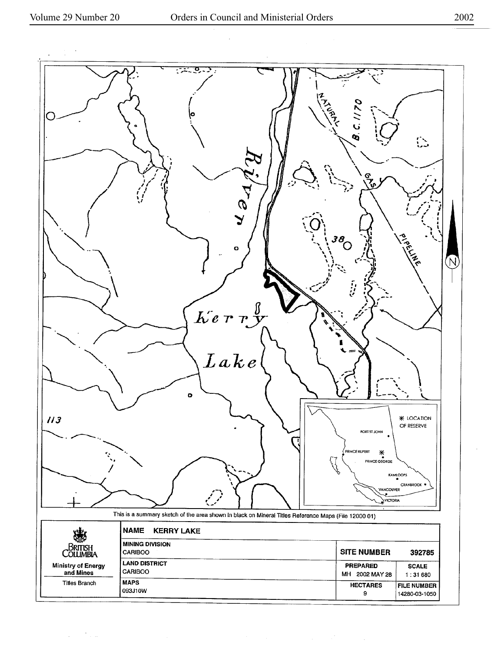$\gamma_{\rm{max}}$ 

 $\sim$ 

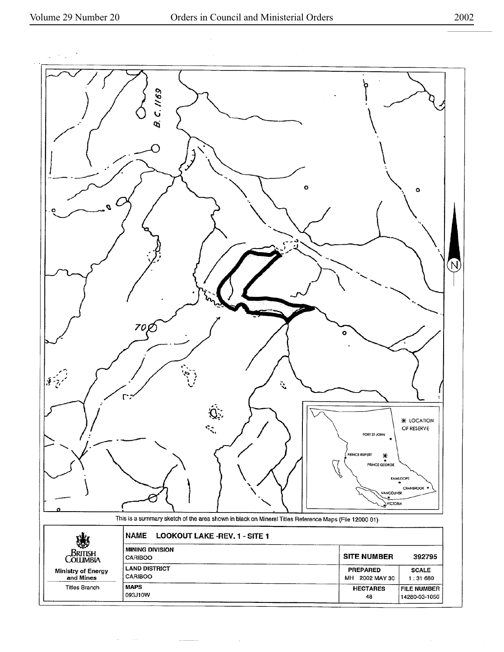![](_page_8_Figure_4.jpeg)

 $\bar{z}$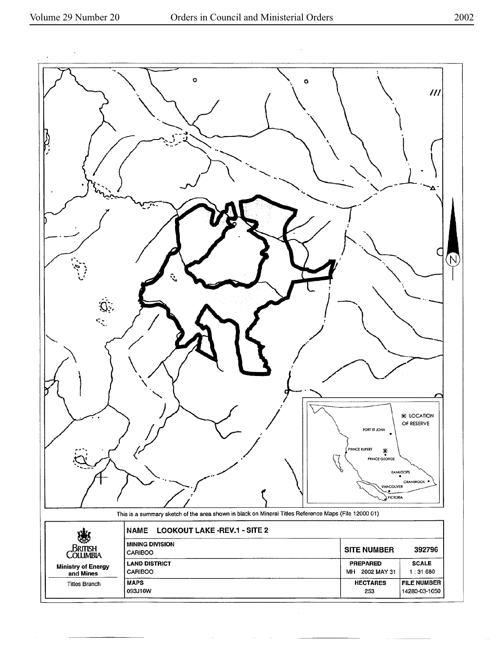![](_page_9_Figure_2.jpeg)

 $\bar{a}$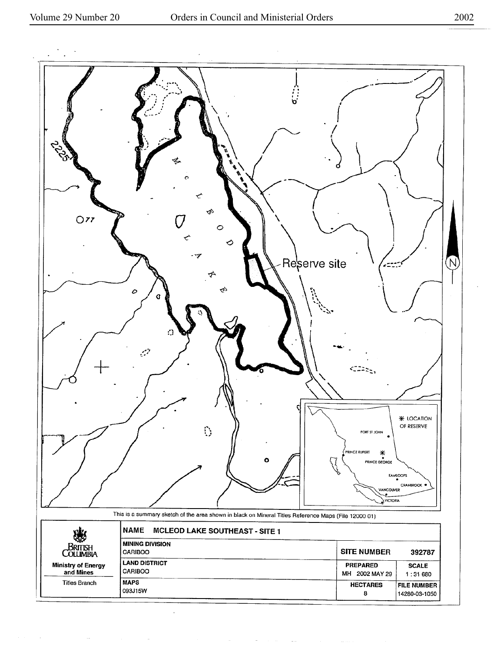$\sim$ 

 $\sim$ 

l

![](_page_10_Figure_2.jpeg)

![](_page_10_Figure_3.jpeg)

 $\sim$ 

 $\sim$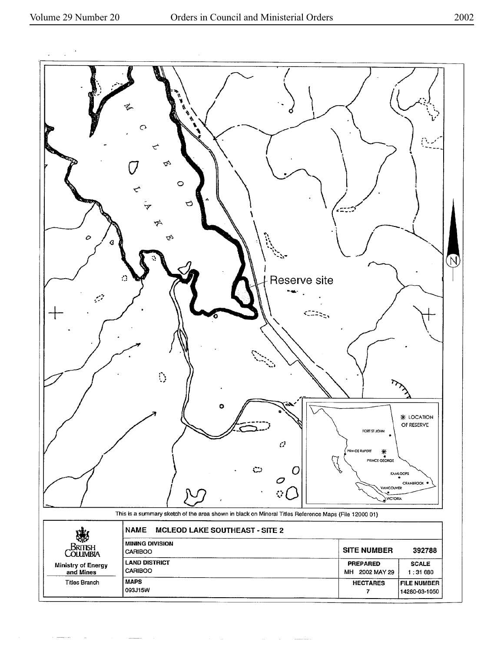![](_page_11_Figure_2.jpeg)

![](_page_11_Figure_3.jpeg)

 $\bar{\beta}$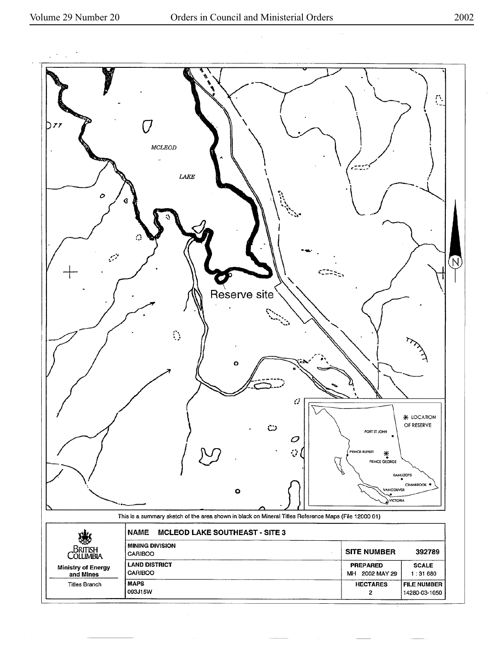![](_page_12_Figure_2.jpeg)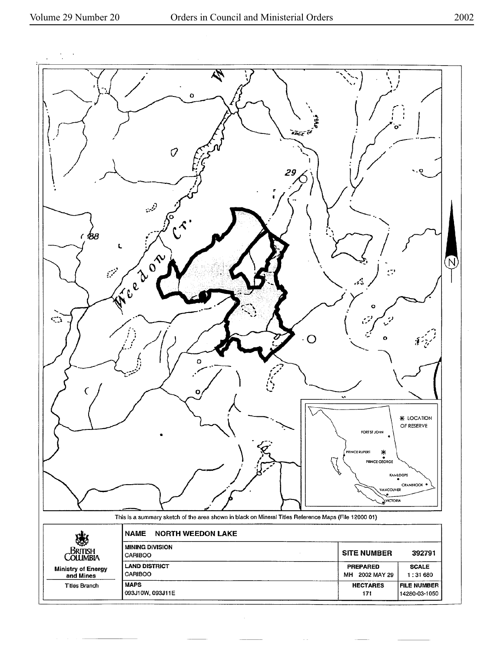![](_page_13_Figure_3.jpeg)

![](_page_13_Figure_4.jpeg)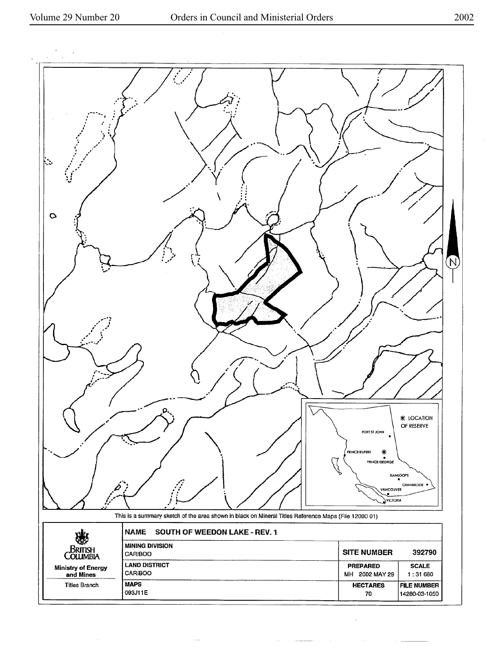![](_page_14_Figure_2.jpeg)

 $\sim$   $\sim$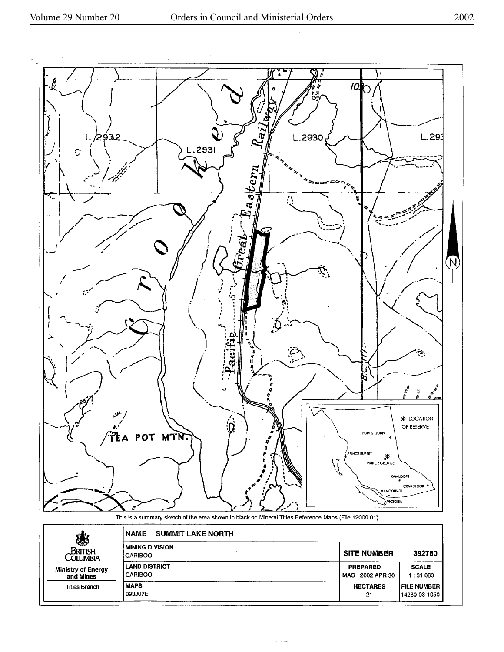![](_page_15_Figure_2.jpeg)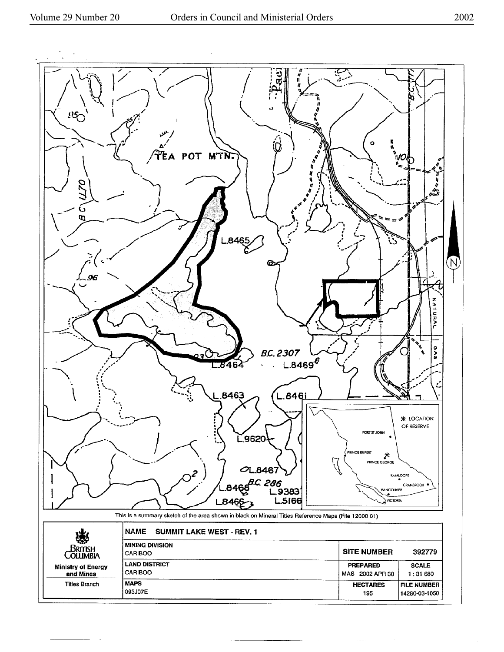![](_page_16_Figure_2.jpeg)

 $\sim$  .  $\sim$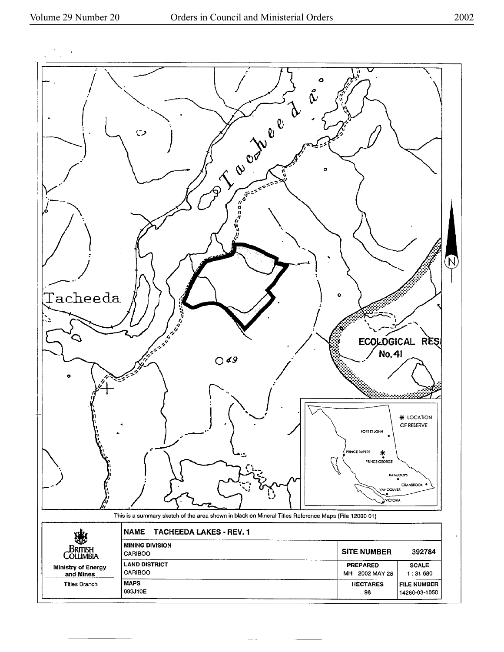![](_page_17_Figure_2.jpeg)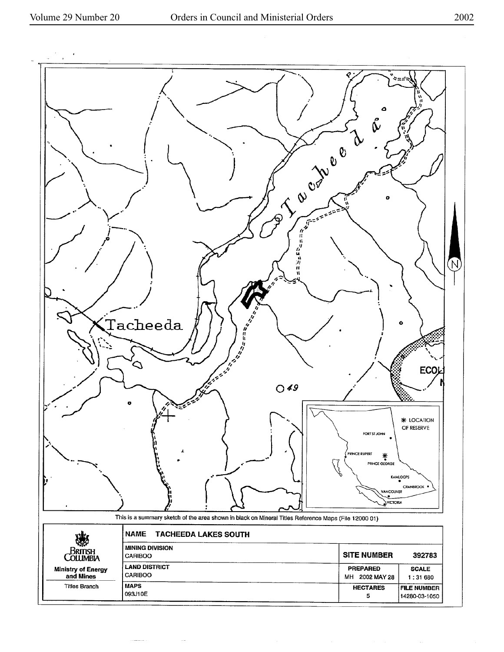![](_page_18_Figure_2.jpeg)